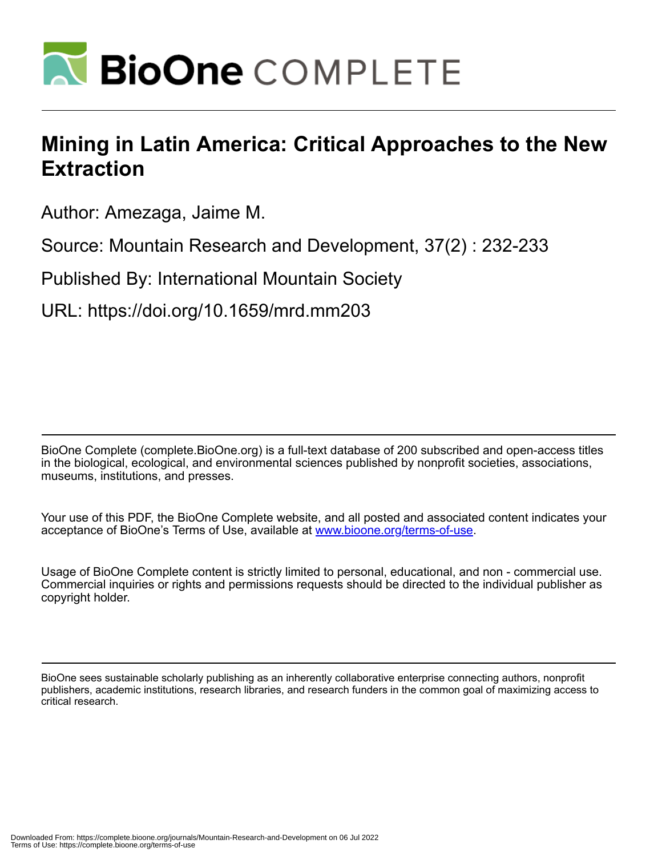

# **Mining in Latin America: Critical Approaches to the New Extraction**

Author: Amezaga, Jaime M.

Source: Mountain Research and Development, 37(2) : 232-233

Published By: International Mountain Society

URL: https://doi.org/10.1659/mrd.mm203

BioOne Complete (complete.BioOne.org) is a full-text database of 200 subscribed and open-access titles in the biological, ecological, and environmental sciences published by nonprofit societies, associations, museums, institutions, and presses.

Your use of this PDF, the BioOne Complete website, and all posted and associated content indicates your acceptance of BioOne's Terms of Use, available at www.bioone.org/terms-of-use.

Usage of BioOne Complete content is strictly limited to personal, educational, and non - commercial use. Commercial inquiries or rights and permissions requests should be directed to the individual publisher as copyright holder.

BioOne sees sustainable scholarly publishing as an inherently collaborative enterprise connecting authors, nonprofit publishers, academic institutions, research libraries, and research funders in the common goal of maximizing access to critical research.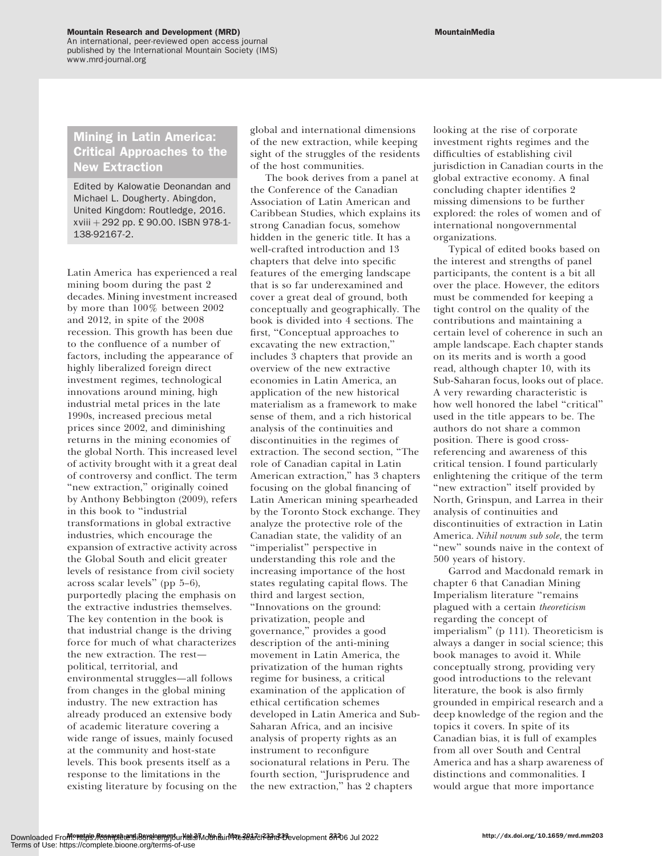An international, peer-reviewed open access journal published by the International Mountain Society (IMS) www.mrd-journal.org

# Mining in Latin America: Critical Approaches to the New Extraction

Edited by Kalowatie Deonandan and Michael L. Dougherty. Abingdon, United Kingdom: Routledge, 2016.  $xviii + 292$  pp. £ 90.00. ISBN 978-1-138-92167-2.

Latin America has experienced a real mining boom during the past 2 decades. Mining investment increased by more than 100% between 2002 and 2012, in spite of the 2008 recession. This growth has been due to the confluence of a number of factors, including the appearance of highly liberalized foreign direct investment regimes, technological innovations around mining, high industrial metal prices in the late 1990s, increased precious metal prices since 2002, and diminishing returns in the mining economies of the global North. This increased level of activity brought with it a great deal of controversy and conflict. The term "new extraction," originally coined by Anthony Bebbington (2009), refers in this book to ''industrial transformations in global extractive industries, which encourage the expansion of extractive activity across the Global South and elicit greater levels of resistance from civil society across scalar levels'' (pp 5–6), purportedly placing the emphasis on the extractive industries themselves. The key contention in the book is that industrial change is the driving force for much of what characterizes the new extraction. The rest political, territorial, and environmental struggles—all follows from changes in the global mining industry. The new extraction has already produced an extensive body of academic literature covering a wide range of issues, mainly focused at the community and host-state levels. This book presents itself as a response to the limitations in the existing literature by focusing on the

global and international dimensions of the new extraction, while keeping sight of the struggles of the residents of the host communities.

The book derives from a panel at the Conference of the Canadian Association of Latin American and Caribbean Studies, which explains its strong Canadian focus, somehow hidden in the generic title. It has a well-crafted introduction and 13 chapters that delve into specific features of the emerging landscape that is so far underexamined and cover a great deal of ground, both conceptually and geographically. The book is divided into 4 sections. The first, ''Conceptual approaches to excavating the new extraction,'' includes 3 chapters that provide an overview of the new extractive economies in Latin America, an application of the new historical materialism as a framework to make sense of them, and a rich historical analysis of the continuities and discontinuities in the regimes of extraction. The second section, ''The role of Canadian capital in Latin American extraction,'' has 3 chapters focusing on the global financing of Latin American mining spearheaded by the Toronto Stock exchange. They analyze the protective role of the Canadian state, the validity of an ''imperialist'' perspective in understanding this role and the increasing importance of the host states regulating capital flows. The third and largest section, ''Innovations on the ground: privatization, people and governance,'' provides a good description of the anti-mining movement in Latin America, the privatization of the human rights regime for business, a critical examination of the application of ethical certification schemes developed in Latin America and Sub-Saharan Africa, and an incisive analysis of property rights as an instrument to reconfigure socionatural relations in Peru. The fourth section, ''Jurisprudence and the new extraction,'' has 2 chapters

looking at the rise of corporate investment rights regimes and the difficulties of establishing civil jurisdiction in Canadian courts in the global extractive economy. A final concluding chapter identifies 2 missing dimensions to be further explored: the roles of women and of international nongovernmental organizations.

Typical of edited books based on the interest and strengths of panel participants, the content is a bit all over the place. However, the editors must be commended for keeping a tight control on the quality of the contributions and maintaining a certain level of coherence in such an ample landscape. Each chapter stands on its merits and is worth a good read, although chapter 10, with its Sub-Saharan focus, looks out of place. A very rewarding characteristic is how well honored the label "critical" used in the title appears to be. The authors do not share a common position. There is good crossreferencing and awareness of this critical tension. I found particularly enlightening the critique of the term "new extraction" itself provided by North, Grinspun, and Larrea in their analysis of continuities and discontinuities of extraction in Latin America. Nihil novum sub sole, the term "new" sounds naive in the context of 500 years of history.

Garrod and Macdonald remark in chapter 6 that Canadian Mining Imperialism literature ''remains plagued with a certain theoreticism regarding the concept of imperialism'' (p 111). Theoreticism is always a danger in social science; this book manages to avoid it. While conceptually strong, providing very good introductions to the relevant literature, the book is also firmly grounded in empirical research and a deep knowledge of the region and the topics it covers. In spite of its Canadian bias, it is full of examples from all over South and Central America and has a sharp awareness of distinctions and commonalities. I would argue that more importance